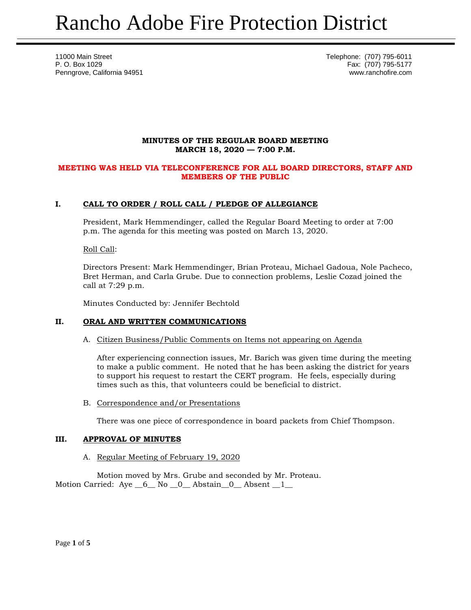11000 Main Street Telephone: (707) 795-6011 P. O. Box 1029 Fax: (707) 795-5177 Penngrove, California 94951 www.ranchofire.com

# **MINUTES OF THE REGULAR BOARD MEETING MARCH 18, 2020 — 7:00 P.M.**

## **MEETING WAS HELD VIA TELECONFERENCE FOR ALL BOARD DIRECTORS, STAFF AND MEMBERS OF THE PUBLIC**

# **I. CALL TO ORDER / ROLL CALL / PLEDGE OF ALLEGIANCE**

President, Mark Hemmendinger, called the Regular Board Meeting to order at 7:00 p.m. The agenda for this meeting was posted on March 13, 2020.

Roll Call:

Directors Present: Mark Hemmendinger, Brian Proteau, Michael Gadoua, Nole Pacheco, Bret Herman, and Carla Grube. Due to connection problems, Leslie Cozad joined the call at 7:29 p.m.

Minutes Conducted by: Jennifer Bechtold

# **II. ORAL AND WRITTEN COMMUNICATIONS**

#### A. Citizen Business/Public Comments on Items not appearing on Agenda

After experiencing connection issues, Mr. Barich was given time during the meeting to make a public comment. He noted that he has been asking the district for years to support his request to restart the CERT program. He feels, especially during times such as this, that volunteers could be beneficial to district.

B. Correspondence and/or Presentations

There was one piece of correspondence in board packets from Chief Thompson.

# **III. APPROVAL OF MINUTES**

A. Regular Meeting of February 19, 2020

Motion moved by Mrs. Grube and seconded by Mr. Proteau. Motion Carried: Aye  $\_6\_$  No  $\_0\_$  Abstain $\_0\_$  Absent  $\_1\_$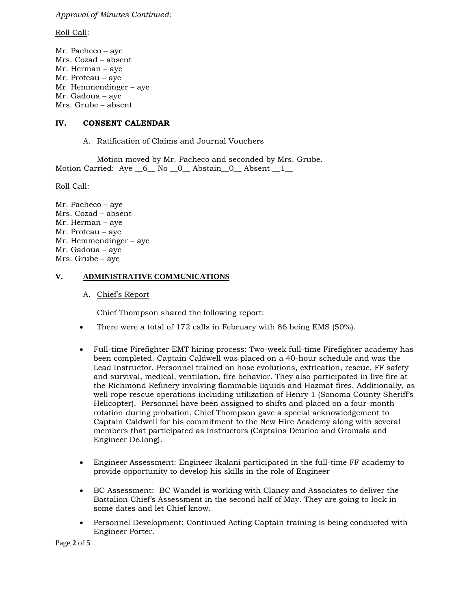*Approval of Minutes Continued:* 

Roll Call:

Mr. Pacheco – aye Mrs. Cozad – absent Mr. Herman – aye Mr. Proteau – aye Mr. Hemmendinger – aye Mr. Gadoua – aye Mrs. Grube – absent

# **IV. CONSENT CALENDAR**

A. Ratification of Claims and Journal Vouchers

Motion moved by Mr. Pacheco and seconded by Mrs. Grube. Motion Carried: Aye 6 No 0 Abstain 0 Absent 1

Roll Call:

Mr. Pacheco – aye Mrs. Cozad – absent Mr. Herman – aye Mr. Proteau – aye Mr. Hemmendinger – aye Mr. Gadoua – aye Mrs. Grube – aye

## **V. ADMINISTRATIVE COMMUNICATIONS**

## A. Chief's Report

Chief Thompson shared the following report:

- There were a total of 172 calls in February with 86 being EMS (50%).
- Full-time Firefighter EMT hiring process: Two-week full-time Firefighter academy has been completed. Captain Caldwell was placed on a 40-hour schedule and was the Lead Instructor. Personnel trained on hose evolutions, extrication, rescue, FF safety and survival, medical, ventilation, fire behavior. They also participated in live fire at the Richmond Refinery involving flammable liquids and Hazmat fires. Additionally, as well rope rescue operations including utilization of Henry 1 (Sonoma County Sheriff's Helicopter). Personnel have been assigned to shifts and placed on a four-month rotation during probation. Chief Thompson gave a special acknowledgement to Captain Caldwell for his commitment to the New Hire Academy along with several members that participated as instructors (Captains Deurloo and Gromala and Engineer DeJong).
- Engineer Assessment: Engineer Ikalani participated in the full-time FF academy to provide opportunity to develop his skills in the role of Engineer
- BC Assessment: BC Wandel is working with Clancy and Associates to deliver the Battalion Chief's Assessment in the second half of May. They are going to lock in some dates and let Chief know.
- Personnel Development: Continued Acting Captain training is being conducted with Engineer Porter.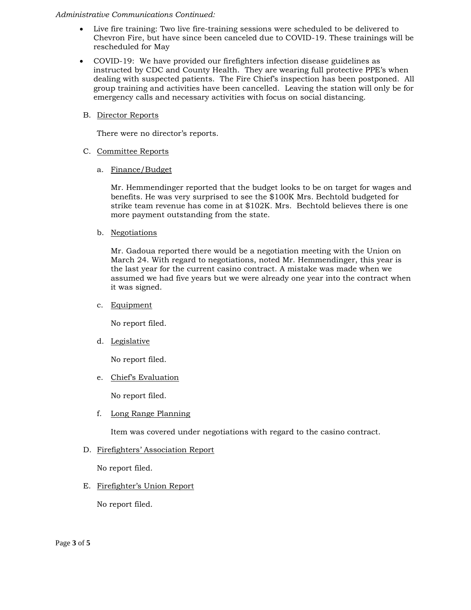#### *Administrative Communications Continued:*

- Live fire training: Two live fire-training sessions were scheduled to be delivered to Chevron Fire, but have since been canceled due to COVID-19. These trainings will be rescheduled for May
- COVID-19: We have provided our firefighters infection disease guidelines as instructed by CDC and County Health. They are wearing full protective PPE's when dealing with suspected patients. The Fire Chief's inspection has been postponed. All group training and activities have been cancelled. Leaving the station will only be for emergency calls and necessary activities with focus on social distancing.
- B. Director Reports

There were no director's reports.

- C. Committee Reports
	- a. Finance/Budget

Mr. Hemmendinger reported that the budget looks to be on target for wages and benefits. He was very surprised to see the \$100K Mrs. Bechtold budgeted for strike team revenue has come in at \$102K. Mrs. Bechtold believes there is one more payment outstanding from the state.

b. Negotiations

Mr. Gadoua reported there would be a negotiation meeting with the Union on March 24. With regard to negotiations, noted Mr. Hemmendinger, this year is the last year for the current casino contract. A mistake was made when we assumed we had five years but we were already one year into the contract when it was signed.

c. Equipment

No report filed.

d. Legislative

No report filed.

e. Chief's Evaluation

No report filed.

f. Long Range Planning

Item was covered under negotiations with regard to the casino contract.

D. Firefighters' Association Report

No report filed.

E. Firefighter's Union Report

No report filed.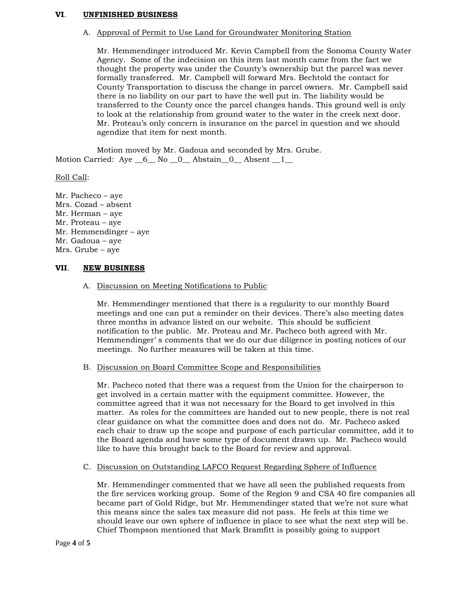#### **VI**. **UNFINISHED BUSINESS**

#### A. Approval of Permit to Use Land for Groundwater Monitoring Station

Mr. Hemmendinger introduced Mr. Kevin Campbell from the Sonoma County Water Agency. Some of the indecision on this item last month came from the fact we thought the property was under the County's ownership but the parcel was never formally transferred. Mr. Campbell will forward Mrs. Bechtold the contact for County Transportation to discuss the change in parcel owners. Mr. Campbell said there is no liability on our part to have the well put in. The liability would be transferred to the County once the parcel changes hands. This ground well is only to look at the relationship from ground water to the water in the creek next door. Mr. Proteau's only concern is insurance on the parcel in question and we should agendize that item for next month.

Motion moved by Mr. Gadoua and seconded by Mrs. Grube. Motion Carried:  $Aye_6$  No  $0$  Abstain  $0$  Absent  $1$ 

#### Roll Call:

Mr. Pacheco – aye Mrs. Cozad – absent Mr. Herman – aye Mr. Proteau – aye Mr. Hemmendinger – aye Mr. Gadoua – aye Mrs. Grube – aye

### **VII**. **NEW BUSINESS**

#### A. Discussion on Meeting Notifications to Public

Mr. Hemmendinger mentioned that there is a regularity to our monthly Board meetings and one can put a reminder on their devices. There's also meeting dates three months in advance listed on our website. This should be sufficient notification to the public. Mr. Proteau and Mr. Pacheco both agreed with Mr. Hemmendinger' s comments that we do our due diligence in posting notices of our meetings. No further measures will be taken at this time.

#### B. Discussion on Board Committee Scope and Responsibilities

Mr. Pacheco noted that there was a request from the Union for the chairperson to get involved in a certain matter with the equipment committee. However, the committee agreed that it was not necessary for the Board to get involved in this matter. As roles for the committees are handed out to new people, there is not real clear guidance on what the committee does and does not do. Mr. Pacheco asked each chair to draw up the scope and purpose of each particular committee, add it to the Board agenda and have some type of document drawn up. Mr. Pacheco would like to have this brought back to the Board for review and approval.

### C. Discussion on Outstanding LAFCO Request Regarding Sphere of Influence

Mr. Hemmendinger commented that we have all seen the published requests from the fire services working group. Some of the Region 9 and CSA 40 fire companies all became part of Gold Ridge, but Mr. Hemmendinger stated that we're not sure what this means since the sales tax measure did not pass. He feels at this time we should leave our own sphere of influence in place to see what the next step will be. Chief Thompson mentioned that Mark Bramfitt is possibly going to support